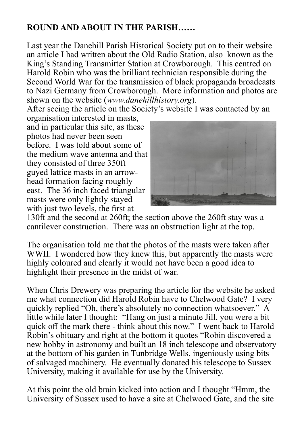## **ROUND AND ABOUT IN THE PARISH……**

Last year the Danehill Parish Historical Society put on to their website an article I had written about the Old Radio Station, also known as the King's Standing Transmitter Station at Crowborough. This centred on Harold Robin who was the brilliant technician responsible during the Second World War for the transmission of black propaganda broadcasts to Nazi Germany from Crowborough. More information and photos are shown on the website (*www.danehillhistory.org*).

After seeing the article on the Society's website I was contacted by an

organisation interested in masts, and in particular this site, as these photos had never been seen before. I was told about some of the medium wave antenna and that they consisted of three 350ft guyed lattice masts in an arrowhead formation facing roughly east. The 36 inch faced triangular masts were only lightly stayed with just two levels, the first at



130ft and the second at 260ft; the section above the 260ft stay was a cantilever construction. There was an obstruction light at the top.

The organisation told me that the photos of the masts were taken after WWII. I wondered how they knew this, but apparently the masts were highly coloured and clearly it would not have been a good idea to highlight their presence in the midst of war.

When Chris Drewery was preparing the article for the website he asked me what connection did Harold Robin have to Chelwood Gate? I very quickly replied "Oh, there's absolutely no connection whatsoever." A little while later I thought: "Hang on just a minute Jill, you were a bit quick off the mark there - think about this now." I went back to Harold Robin's obituary and right at the bottom it quotes "Robin discovered a new hobby in astronomy and built an 18 inch telescope and observatory at the bottom of his garden in Tunbridge Wells, ingeniously using bits of salvaged machinery. He eventually donated his telescope to Sussex University, making it available for use by the University.

At this point the old brain kicked into action and I thought "Hmm, the University of Sussex used to have a site at Chelwood Gate, and the site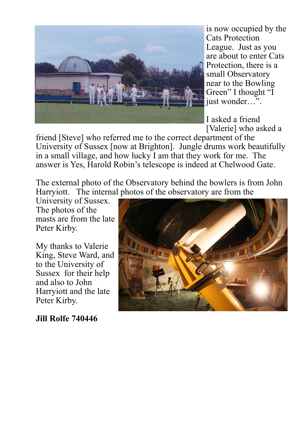

is now occupied by the Cats Protection League. Just as you are about to enter Cats Protection, there is a small Observatory near to the Bowling Green" I thought "I just wonder…".

I asked a friend [Valerie] who asked a

friend [Steve] who referred me to the correct department of the University of Sussex [now at Brighton]. Jungle drums work beautifully in a small village, and how lucky I am that they work for me. The answer is Yes, Harold Robin's telescope is indeed at Chelwood Gate.

The external photo of the Observatory behind the bowlers is from John Harryiott. The internal photos of the observatory are from the

University of Sussex. The photos of the masts are from the late Peter Kirby.

My thanks to Valerie King, Steve Ward, and to the University of Sussex for their help and also to John Harryiott and the late Peter Kirby.



**Jill Rolfe 740446**